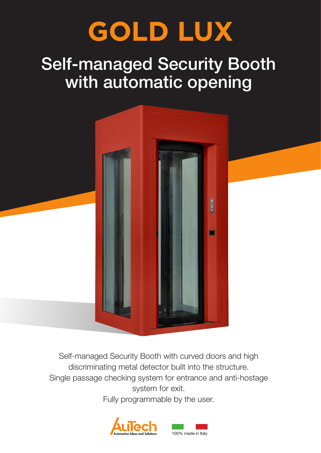# **GOLD LUX**

## Self-managed Security Booth with automatic opening



Self-managed Security Booth with curved doors and high discriminating metal detector built into the structure. Single passage checking system for entrance and anti-hostage system for exit.

Fully programmable by the user.

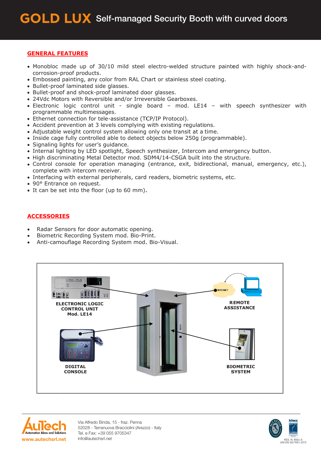#### **GENERAL FEATURES**

- Monobloc made up of 30/10 mild steel electro-welded structure painted with highly shock-andcorrosion-proof products.
- Embossed painting, any color from RAL Chart or stainless steel coating.
- Bullet-proof laminated side glasses.
- Bullet-proof and shock-proof laminated door glasses.
- 24Vdc Motors with Reversible and/or Irreversible Gearboxes.
- Electronic logic control unit single board mod. LE14 with speech synthesizer with programmable multimessages.
- Ethernet connection for tele-assistance (TCP/IP Protocol).
- Accident prevention at 3 levels complying with existing regulations.
- Adjustable weight control system allowing only one transit at a time.
- Inside cage fully controlled able to detect objects below 250g (programmable).
- · Signaling lights for user's guidance.
- Internal lighting by LED spotlight, Speech synthesizer, Intercom and emergency button.
- . High discriminating Metal Detector mod. SDM4/14-CSGA built into the structure.
- Control console for operation managing (entrance, exit, bidirectional, manual, emergency, etc.), complete with intercom receiver.
- Interfacing with external peripherals, card readers, biometric systems, etc.
- 90° Entrance on request.
- It can be set into the floor (up to 60 mm).

#### **ACCESSORIES**

- Radar Sensors for door automatic opening.
- Biometric Recording System mod. Bio-Print.
- Anti-camouflage Recording System mod. Bio-Visual.





Via Alfredo Binda, 15 - fraz. Penna 52028 - Terranuova Bracciolini (Arezzo) - Italy Tel. e Fax: +39 055 9705347 info@autechsrl.net